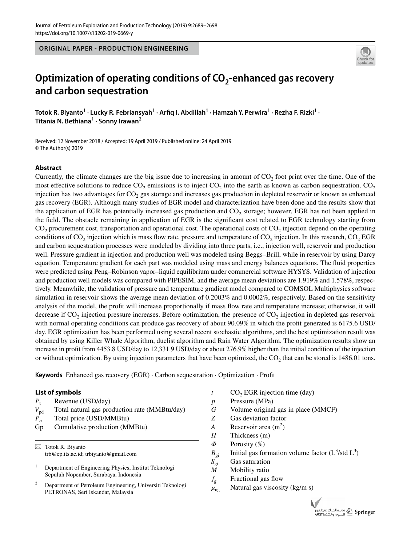**ORIGINAL PAPER - PRODUCTION ENGINEERING**



# Optimization of operating conditions of CO<sub>2</sub>-enhanced gas recovery **and carbon sequestration**

 $\bf{Totok}$  R. Biyanto $^1$   $\cdot$  Lucky R. Febriansyah $^1$   $\cdot$  Arfiq I. Abdillah $^1$   $\cdot$  Hamzah Y. Perwira $^1$   $\cdot$  Rezha F. Rizki $^1$   $\cdot$ **Titania N. Bethiana1 · Sonny Irawan<sup>2</sup>**

Received: 12 November 2018 / Accepted: 19 April 2019 / Published online: 24 April 2019 © The Author(s) 2019

### **Abstract**

Currently, the climate changes are the big issue due to increasing in amount of  $CO<sub>2</sub>$  foot print over the time. One of the most effective solutions to reduce  $CO_2$  emissions is to inject  $CO_2$  into the earth as known as carbon sequestration.  $CO_2$ injection has two advantages for  $CO<sub>2</sub>$  gas storage and increases gas production in depleted reservoir or known as enhanced gas recovery (EGR). Although many studies of EGR model and characterization have been done and the results show that the application of EGR has potentially increased gas production and  $CO<sub>2</sub>$  storage; however, EGR has not been applied in the feld. The obstacle remaining in application of EGR is the signifcant cost related to EGR technology starting from  $CO<sub>2</sub>$  procurement cost, transportation and operational cost. The operational costs of  $CO<sub>2</sub>$  injection depend on the operating conditions of  $CO<sub>2</sub>$  injection which is mass flow rate, pressure and temperature of  $CO<sub>2</sub>$  injection. In this research,  $CO<sub>2</sub> EGR$ and carbon sequestration processes were modeled by dividing into three parts, i.e., injection well, reservoir and production well. Pressure gradient in injection and production well was modeled using Beggs–Brill, while in reservoir by using Darcy equation. Temperature gradient for each part was modeled using mass and energy balances equations. The fuid properties were predicted using Peng–Robinson vapor–liquid equilibrium under commercial software HYSYS. Validation of injection and production well models was compared with PIPESIM, and the average mean deviations are 1.919% and 1.578%, respectively. Meanwhile, the validation of pressure and temperature gradient model compared to COMSOL Multiphysics software simulation in reservoir shows the average mean deviation of 0.2003% and 0.0002%, respectively. Based on the sensitivity analysis of the model, the proft will increase proportionally if mass fow rate and temperature increase; otherwise, it will decrease if  $CO<sub>2</sub>$  injection pressure increases. Before optimization, the presence of  $CO<sub>2</sub>$  injection in depleted gas reservoir with normal operating conditions can produce gas recovery of about 90.09% in which the proft generated is 6175.6 USD/ day. EGR optimization has been performed using several recent stochastic algorithms, and the best optimization result was obtained by using Killer Whale Algorithm, duelist algorithm and Rain Water Algorithm. The optimization results show an increase in proft from 4453.8 USD/day to 12,331.9 USD/day or about 276.9% higher than the initial condition of the injection or without optimization. By using injection parameters that have been optimized, the  $CO<sub>2</sub>$  that can be stored is 1486.01 tons.

**Keywords** Enhanced gas recovery (EGR) · Carbon sequestration · Optimization · Proft

#### **List of symbols**

- $P_{t}$ Revenue (USD/day)
- $V_{\text{pd}}$  Total natural gas production rate (MMBtu/day)
- *Po* Total price (USD/MMBtu)
- Gp Cumulative production (MMBtu)

 $\boxtimes$  Totok R. Biyanto trb@ep.its.ac.id; trbiyanto@gmail.com

<sup>1</sup> Department of Engineering Physics, Institut Teknologi Sepuluh Nopember, Surabaya, Indonesia

<sup>2</sup> Department of Petroleum Engineering, Universiti Teknologi PETRONAS, Seri Iskandar, Malaysia

- $t$  CO<sub>2</sub> EGR injection time (day)
- *p* Pressure (MPa)
- *G* Volume original gas in place (MMCF)
- *Z* Gas deviation factor
- *A* Reservoir area  $(m^2)$
- *H* Thickness (m)
- *Φ* Porosity (%)
- $B_{\text{gi}}$  Initial gas formation volume factor (L<sup>3</sup>/std L<sup>3</sup>)
- *S*<sub>gi</sub> Gas saturation<br>*M* Mobility ratio
- *M* Mobility ratio
- $f_{\rm g}$  Fractional gas flow
- $\mu_{\text{ng}}$  Natural gas viscosity (kg/m s)

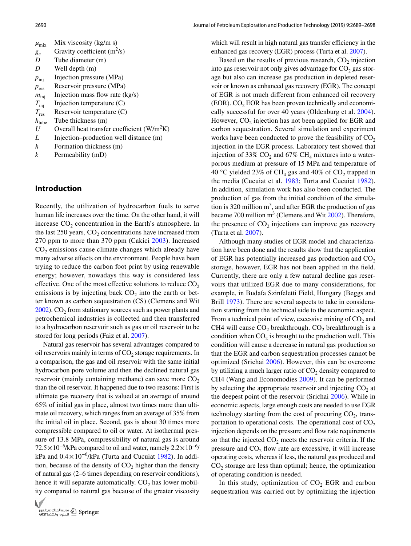| $\mu_{\rm mix}$   | Mix viscosity $(kg/m s)$                     |
|-------------------|----------------------------------------------|
| $g_c$             | Gravity coefficient $(m^2/s)$                |
| D                 | Tube diameter (m)                            |
| D                 | Well depth (m)                               |
| $p_{\text{ini}}$  | Injection pressure (MPa)                     |
| $p_{\text{res}}$  | Reservoir pressure (MPa)                     |
| $m_{\text{ini}}$  | Injection mass flow rate $(kg/s)$            |
| $T_{\text{inj}}$  | Injection temperature $(C)$                  |
| $T_{\rm res}$     | Reservoir temperature $(C)$                  |
| $h_{\text{tube}}$ | Tube thickness (m)                           |
| $\boldsymbol{U}$  | Overall heat transfer coefficient $(W/m^2K)$ |
| L                 | Injection–production well distance (m)       |
|                   |                                              |

- *h* Formation thickness (m)
- *k* Permeability (mD)

## **Introduction**

Recently, the utilization of hydrocarbon fuels to serve human life increases over the time. On the other hand, it will increase  $CO<sub>2</sub>$  concentration in the Earth's atmosphere. In the last  $250$  years,  $CO<sub>2</sub>$  concentrations have increased from 270 ppm to more than 370 ppm (Cakici [2003\)](#page-9-0). Increased  $CO<sub>2</sub>$  emissions cause climate changes which already have many adverse efects on the environment. People have been trying to reduce the carbon foot print by using renewable energy; however, nowadays this way is considered less effective. One of the most effective solutions to reduce  $CO<sub>2</sub>$ emissions is by injecting back  $CO<sub>2</sub>$  into the earth or better known as carbon sequestration (CS) (Clemens and Wit  $2002$ ). CO<sub>2</sub> from stationary sources such as power plants and petrochemical industries is collected and then transferred to a hydrocarbon reservoir such as gas or oil reservoir to be stored for long periods (Faiz et al. [2007](#page-9-2)).

Natural gas reservoir has several advantages compared to oil reservoirs mainly in terms of  $CO<sub>2</sub>$  storage requirements. In a comparison, the gas and oil reservoir with the same initial hydrocarbon pore volume and then the declined natural gas reservoir (mainly containing methane) can save more  $CO<sub>2</sub>$ than the oil reservoir. It happened due to two reasons: First is ultimate gas recovery that is valued at an average of around 65% of initial gas in place, almost two times more than ultimate oil recovery, which ranges from an average of 35% from the initial oil in place. Second, gas is about 30 times more compressible compared to oil or water. At isothermal pressure of 13.8 MPa, compressibility of natural gas is around  $72.5 \times 10^{-6}$ /kPa compared to oil and water, namely  $2.2 \times 10^{-6}$ / kPa and 0.4×10−6/kPa (Turta and Cucuiat [1982](#page-9-3)). In addition, because of the density of  $CO<sub>2</sub>$  higher than the density of natural gas (2–6 times depending on reservoir conditions), hence it will separate automatically.  $CO<sub>2</sub>$  has lower mobility compared to natural gas because of the greater viscosity



which will result in high natural gas transfer efficiency in the enhanced gas recovery (EGR) process (Turta et al. [2007\)](#page-9-4).

Based on the results of previous research,  $CO<sub>2</sub>$  injection into gas reservoir not only gives advantage for  $CO<sub>2</sub>$  gas storage but also can increase gas production in depleted reservoir or known as enhanced gas recovery (EGR). The concept of EGR is not much diferent from enhanced oil recovery  $(EOR)$ .  $CO<sub>2</sub> EOR$  has been proven technically and economically successful for over 40 years (Oldenburg et al. [2004](#page-9-5)). However,  $CO<sub>2</sub>$  injection has not been applied for EGR and carbon sequestration. Several simulation and experiment works have been conducted to prove the feasibility of  $CO<sub>2</sub>$ injection in the EGR process. Laboratory test showed that injection of 33%  $CO<sub>2</sub>$  and 67%  $CH<sub>4</sub>$  mixtures into a waterporous medium at pressure of 15 MPa and temperature of 40 °C yielded 23% of CH<sub>4</sub> gas and 40% of CO<sub>2</sub> trapped in the media (Cucuiat et al. [1983](#page-9-6); Turta and Cucuiat [1982](#page-9-3)). In addition, simulation work has also been conducted. The production of gas from the initial condition of the simulation is 320 million  $m^3$ , and after EGR the production of gas became 700 million  $m<sup>3</sup>$  (Clemens and Wit [2002\)](#page-9-1). Therefore, the presence of  $CO<sub>2</sub>$  injections can improve gas recovery (Turta et al. [2007\)](#page-9-4).

Although many studies of EGR model and characterization have been done and the results show that the application of EGR has potentially increased gas production and  $CO<sub>2</sub>$ storage, however, EGR has not been applied in the feld. Currently, there are only a few natural decline gas reservoirs that utilized EGR due to many considerations, for example, in Budafa Szinfeletti Field, Hungary (Beggs and Brill [1973\)](#page-8-0). There are several aspects to take in consideration starting from the technical side to the economic aspect. From a technical point of view, excessive mixing of  $CO<sub>2</sub>$  and CH4 will cause  $CO<sub>2</sub>$  breakthrough.  $CO<sub>2</sub>$  breakthrough is a condition when  $CO<sub>2</sub>$  is brought to the production well. This condition will cause a decrease in natural gas production so that the EGR and carbon sequestration processes cannot be optimized (Srichai [2006](#page-9-7)). However, this can be overcome by utilizing a much larger ratio of  $CO<sub>2</sub>$  density compared to CH4 (Wang and Economodies [2009](#page-9-8)). It can be performed by selecting the appropriate reservoir and injecting  $CO<sub>2</sub>$  at the deepest point of the reservoir (Srichai [2006\)](#page-9-7). While in economic aspects, large enough costs are needed to use EGR technology starting from the cost of procuring  $CO<sub>2</sub>$ , transportation to operational costs. The operational cost of  $CO<sub>2</sub>$ injection depends on the pressure and fow rate requirements so that the injected  $CO<sub>2</sub>$  meets the reservoir criteria. If the pressure and  $CO<sub>2</sub>$  flow rate are excessive, it will increase operating costs, whereas if less, the natural gas produced and  $CO<sub>2</sub>$  storage are less than optimal; hence, the optimization of operating condition is needed.

In this study, optimization of  $CO<sub>2</sub>$  EGR and carbon sequestration was carried out by optimizing the injection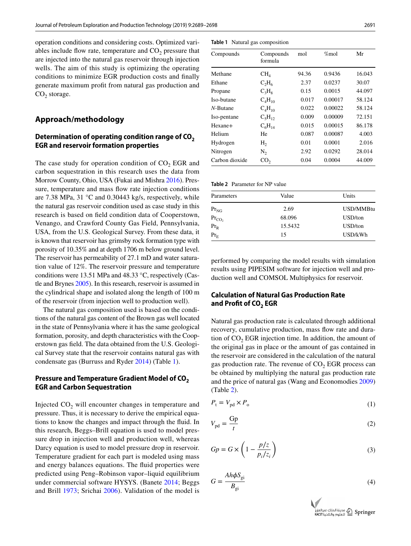operation conditions and considering costs. Optimized variables include flow rate, temperature and  $CO<sub>2</sub>$  pressure that are injected into the natural gas reservoir through injection wells. The aim of this study is optimizing the operating conditions to minimize EGR production costs and fnally generate maximum proft from natural gas production and  $CO<sub>2</sub>$  storage.

## **Approach/methodology**

# **Determination of operating condition range of CO2 EGR and reservoir formation properties**

The case study for operation condition of  $CO<sub>2</sub>$  EGR and carbon sequestration in this research uses the data from Morrow County, Ohio, USA (Fukai and Mishra [2016\)](#page-9-9). Pressure, temperature and mass fow rate injection conditions are 7.38 MPa, 31 °C and 0.30443 kg/s, respectively, while the natural gas reservoir condition used as case study in this research is based on feld condition data of Cooperstown, Venango, and Crawford County Gas Field, Pennsylvania, USA, from the U.S. Geological Survey. From these data, it is known that reservoir has grimsby rock formation type with porosity of 10.35% and at depth 1706 m below ground level. The reservoir has permeability of 27.1 mD and water saturation value of 12%. The reservoir pressure and temperature conditions were 13.51 MPa and 48.33 °C, respectively (Castle and Brynes [2005\)](#page-9-10). In this research, reservoir is assumed in the cylindrical shape and isolated along the length of 100 m of the reservoir (from injection well to production well).

The natural gas composition used is based on the conditions of the natural gas content of the Brown gas well located in the state of Pennsylvania where it has the same geological formation, porosity, and depth characteristics with the Cooperstown gas feld. The data obtained from the U.S. Geological Survey state that the reservoir contains natural gas with condensate gas (Burruss and Ryder [2014\)](#page-8-1) (Table [1](#page-2-0)).

# **Pressure and Temperature Gradient Model of CO<sub>2</sub> EGR and Carbon Sequestration**

Injected  $CO<sub>2</sub>$  will encounter changes in temperature and pressure. Thus, it is necessary to derive the empirical equations to know the changes and impact through the fuid. In this research, Beggs–Brill equation is used to model pressure drop in injection well and production well, whereas Darcy equation is used to model pressure drop in reservoir. Temperature gradient for each part is modeled using mass and energy balances equations. The fuid properties were predicted using Peng–Robinson vapor–liquid equilibrium under commercial software HYSYS. (Banete [2014](#page-8-2); Beggs and Brill [1973;](#page-8-0) Srichai [2006\)](#page-9-7). Validation of the model is

<span id="page-2-0"></span>**Table 1** Natural gas composition

| Compounds      | Compounds<br>formula | mol   | %mol    | Mr     |
|----------------|----------------------|-------|---------|--------|
| Methane        | CH <sub>A</sub>      | 94.36 | 0.9436  | 16.043 |
| Ethane         | $C_2H_6$             | 2.37  | 0.0237  | 30.07  |
| Propane        | $C_3H_8$             | 0.15  | 0.0015  | 44.097 |
| Iso-butane     | $C_4H_{10}$          | 0.017 | 0.00017 | 58.124 |
| $N$ -Butane    | $C_4H_{10}$          | 0.022 | 0.00022 | 58.124 |
| Iso-pentane    | $C_5H_{12}$          | 0.009 | 0.00009 | 72.151 |
| Hexane+        | $C_6H_{14}$          | 0.015 | 0.00015 | 86.178 |
| Helium         | He                   | 0.087 | 0.00087 | 4.003  |
| Hydrogen       | H <sub>2</sub>       | 0.01  | 0.0001  | 2.016  |
| Nitrogen       | $N_{2}$              | 2.92  | 0.0292  | 28.014 |
| Carbon dioxide | CO <sub>2</sub>      | 0.04  | 0.0004  | 44.009 |

<span id="page-2-1"></span>

| Parameters                  | Value   | Units     |  |
|-----------------------------|---------|-----------|--|
| $\mathrm{Pr}_{\mathrm{NG}}$ | 2.69    | USD/MMBtu |  |
| $Pr_{CO_2}$                 | 68.096  | USD/ton   |  |
| $Pr_R$                      | 15.5432 | USD/ton   |  |
| $Pr_{E}$                    | 15      | USD/kWh   |  |

performed by comparing the model results with simulation results using PIPESIM software for injection well and production well and COMSOL Multiphysics for reservoir.

# **Calculation of Natural Gas Production Rate**  and Profit of CO<sub>2</sub> EGR

Natural gas production rate is calculated through additional recovery, cumulative production, mass fow rate and duration of  $CO<sub>2</sub> EGR$  injection time. In addition, the amount of the original gas in place or the amount of gas contained in the reservoir are considered in the calculation of the natural gas production rate. The revenue of  $CO<sub>2</sub>$  EGR process can be obtained by multiplying the natural gas production rate and the price of natural gas (Wang and Economodies [2009\)](#page-9-8) (Table [2\)](#page-2-1).

$$
P_{\rm t} = V_{\rm pd} \times P_{\rm o} \tag{1}
$$

$$
V_{\rm pd} = \frac{\rm Gp}{t} \tag{2}
$$

$$
Gp = G \times \left(1 - \frac{p/z}{p_i/z_i}\right) \tag{3}
$$

$$
G = \frac{Ah\phi S_{gi}}{B_{gi}}\tag{4}
$$

<span id="page-2-3"></span><span id="page-2-2"></span>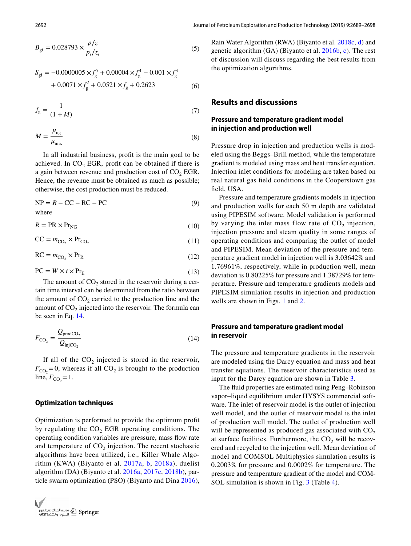$$
B_{\rm gi} = 0.028793 \times \frac{p/z}{p_i/z_i}
$$
 (5)

$$
S_{\rm gi} = -0.0000005 \times f_{\rm g}^5 + 0.00004 \times f_{\rm g}^4 - 0.001 \times f_{\rm g}^3
$$
  
+ 0.0071 \times f\_{\rm g}^2 + 0.0521 \times f\_{\rm g} + 0.2623 (6)

$$
f_{g} = \frac{1}{(1+M)}\tag{7}
$$

$$
M = \frac{\mu_{\text{ng}}}{\mu_{\text{mix}}} \tag{8}
$$

In all industrial business, proft is the main goal to be achieved. In  $CO<sub>2</sub> EGR$ , profit can be obtained if there is a gain between revenue and production cost of  $CO<sub>2</sub> EGR$ . Hence, the revenue must be obtained as much as possible; otherwise, the cost production must be reduced.

$$
NP = R - CC - RC - PC
$$
 (9)  
where

$$
R = PR \times Pr_{NG}
$$
 (10)

$$
CC = m_{CO_2} \times Pr_{CO_2}
$$
 (11)

$$
RC = m_{CO_2} \times Pr_R
$$
 (12)

$$
PC = W \times t \times Pr_E \tag{13}
$$

The amount of  $CO<sub>2</sub>$  stored in the reservoir during a certain time interval can be determined from the ratio between the amount of  $CO<sub>2</sub>$  carried to the production line and the amount of  $CO<sub>2</sub>$  injected into the reservoir. The formula can be seen in Eq. [14.](#page-3-0)

$$
F_{\text{CO}_2} = \frac{Q_{\text{prodCO}_2}}{Q_{\text{injCO}_2}}\tag{14}
$$

If all of the  $CO<sub>2</sub>$  injected is stored in the reservoir,  $F_{\text{CO}_2}$  = 0, whereas if all CO<sub>2</sub> is brought to the production  $\lim_{C_{\text{CO}_2}} = 1$ .

# **Optimization techniques**

Optimization is performed to provide the optimum proft by regulating the  $CO<sub>2</sub>$  EGR operating conditions. The operating condition variables are pressure, mass fow rate and temperature of  $CO<sub>2</sub>$  injection. The recent stochastic algorithms have been utilized, i.e., Killer Whale Algorithm (KWA) (Biyanto et al. [2017a](#page-8-3), [b,](#page-8-4) [2018a](#page-8-5)), duelist algorithm (DA) (Biyanto et al. [2016a](#page-8-6), [2017c,](#page-8-7) [2018b](#page-8-8)), particle swarm optimization (PSO) (Biyanto and Dina [2016](#page-8-9)),



Rain Water Algorithm (RWA) (Biyanto et al. [2018c,](#page-8-10) [d\)](#page-8-11) and genetic algorithm (GA) (Biyanto et al. [2016b,](#page-8-12) [c](#page-8-13)). The rest of discussion will discuss regarding the best results from the optimization algorithms.

# **Results and discussions**

# **Pressure and temperature gradient model in injection and production well**

Pressure drop in injection and production wells is modeled using the Beggs–Brill method, while the temperature gradient is modeled using mass and heat transfer equation. Injection inlet conditions for modeling are taken based on real natural gas feld conditions in the Cooperstown gas feld, USA.

<span id="page-3-1"></span>Pressure and temperature gradients models in injection and production wells for each 50 m depth are validated using PIPESIM software. Model validation is performed by varying the inlet mass flow rate of  $CO<sub>2</sub>$  injection, injection pressure and steam quality in some ranges of operating conditions and comparing the outlet of model and PIPESIM. Mean deviation of the pressure and temperature gradient model in injection well is 3.03642% and 1.76961%, respectively, while in production well, mean deviation is 0.80225% for pressure and 1.38729% for temperature. Pressure and temperature gradients models and PIPESIM simulation results in injection and production wells are shown in Figs. [1](#page-4-0) and [2.](#page-4-1)

# <span id="page-3-2"></span><span id="page-3-0"></span>**Pressure and temperature gradient model in reservoir**

The pressure and temperature gradients in the reservoir are modeled using the Darcy equation and mass and heat transfer equations. The reservoir characteristics used as input for the Darcy equation are shown in Table [3.](#page-4-2)

The fuid properties are estimated using Peng–Robinson vapor–liquid equilibrium under HYSYS commercial software. The inlet of reservoir model is the outlet of injection well model, and the outlet of reservoir model is the inlet of production well model. The outlet of production well will be represented as produced gas associated with  $CO<sub>2</sub>$ at surface facilities. Furthermore, the  $CO<sub>2</sub>$  will be recovered and recycled to the injection well. Mean deviation of model and COMSOL Multiphysics simulation results is 0.2003% for pressure and 0.0002% for temperature. The pressure and temperature gradient of the model and COM-SOL simulation is shown in Fig. [3](#page-4-3) (Table [4](#page-5-0)).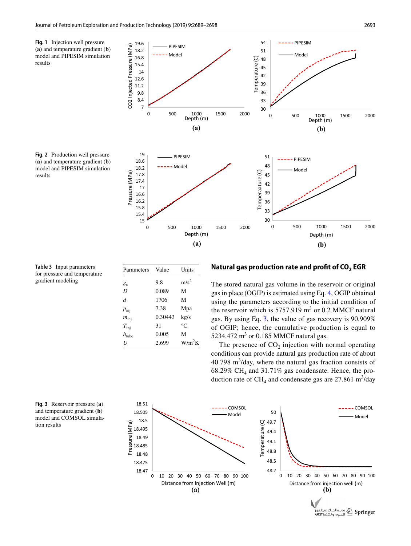16.8 18.2 19.6

PIPESIM Model

<span id="page-4-0"></span>**Fig. 1** Injection well pressure (**a**) and temperature gradient (**b**) model and PIPESIM simulation results

<span id="page-4-1"></span>



51 54 - PIPESIM Model

<span id="page-4-2"></span>**Table 3** Input parameters for pressure and temperature gradient modeling

| Parameters        | Value   | Units            |
|-------------------|---------|------------------|
| $g_c$             | 9.8     | m/s <sup>2</sup> |
| D                 | 0.089   | М                |
| $\overline{d}$    | 1706    | М                |
| $p_{\text{inj}}$  | 7.38    | Mpa              |
| $m_{\text{ini}}$  | 0.30443 | kg/s             |
| $T_{\text{inj}}$  | 31      | °C               |
| $h_{\text{tube}}$ | 0.005   | М                |
| U                 | 2.699   | $W/m^2K$         |

#### Natural gas production rate and profit of CO<sub>2</sub> EGR

The stored natural gas volume in the reservoir or original gas in place (OGIP) is estimated using Eq. [4,](#page-2-2) OGIP obtained using the parameters according to the initial condition of the reservoir which is  $5757.919 \text{ m}^3$  or 0.2 MMCF natural gas. By using Eq. [3,](#page-2-3) the value of gas recovery is 90.909% of OGIP; hence, the cumulative production is equal to 5234.472  $\text{m}^3$  or 0.185 MMCF natural gas.

The presence of  $CO<sub>2</sub>$  injection with normal operating conditions can provide natural gas production rate of about  $40.798 \text{ m}^3$ /day, where the natural gas fraction consists of  $68.29\%$  CH<sub>4</sub> and 31.71% gas condensate. Hence, the production rate of  $CH_4$  and condensate gas are 27.861 m<sup>3</sup>/day



<span id="page-4-3"></span>**Fig. 3** Reservoir pressure (**a**) and temperature gradient (**b**) model and COMSOL simulation results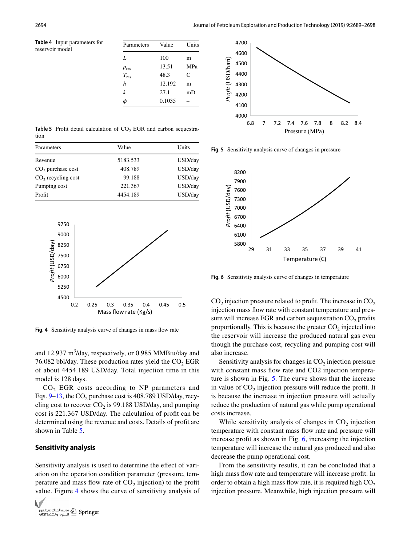<span id="page-5-0"></span>**Table 4** Input parameters for reservoir model

| Parameters | Value  | Units |
|------------|--------|-------|
| L          | 100    | m     |
| $p_{res}$  | 13.51  | MPa   |
| $T_{res}$  | 48.3   | C     |
| h          | 12.192 | m     |
| k          | 27.1   | mD    |
| ሐ          | 0.1035 |       |

<span id="page-5-1"></span>**Table 5** Profit detail calculation of CO<sub>2</sub> EGR and carbon sequestration

| Value    | Units   |  |
|----------|---------|--|
| 5183.533 | USD/day |  |
| 408.789  | USD/day |  |
| 99.188   | USD/day |  |
| 221.367  | USD/day |  |
| 4454.189 | USD/day |  |
|          |         |  |



<span id="page-5-2"></span>**Fig. 4** Sensitivity analysis curve of changes in mass fow rate

and 12.937  $m<sup>3</sup>/day$ , respectively, or 0.985 MMBtu/day and 76.082 bbl/day. These production rates yield the  $CO<sub>2</sub> EGR$ of about 4454.189 USD/day. Total injection time in this model is 128 days.

 $CO<sub>2</sub>$  EGR costs according to NP parameters and Eqs.  $9-13$ , the CO<sub>2</sub> purchase cost is 408.789 USD/day, recycling cost to recover  $CO<sub>2</sub>$  is 99.188 USD/day, and pumping cost is 221.367 USD/day. The calculation of proft can be determined using the revenue and costs. Details of proft are shown in Table [5.](#page-5-1)

#### **Sensitivity analysis**

Sensitivity analysis is used to determine the effect of variation on the operation condition parameter (pressure, temperature and mass flow rate of  $CO<sub>2</sub>$  injection) to the profit value. Figure [4](#page-5-2) shows the curve of sensitivity analysis of





<span id="page-5-3"></span>**Fig. 5** Sensitivity analysis curve of changes in pressure



<span id="page-5-4"></span>**Fig. 6** Sensitivity analysis curve of changes in temperature

 $CO<sub>2</sub>$  injection pressure related to profit. The increase in  $CO<sub>2</sub>$ injection mass fow rate with constant temperature and pressure will increase EGR and carbon sequestration  $CO<sub>2</sub>$  profits proportionally. This is because the greater  $CO<sub>2</sub>$  injected into the reservoir will increase the produced natural gas even though the purchase cost, recycling and pumping cost will also increase.

Sensitivity analysis for changes in  $CO<sub>2</sub>$  injection pressure with constant mass flow rate and CO2 injection temperature is shown in Fig. [5](#page-5-3). The curve shows that the increase in value of  $CO<sub>2</sub>$  injection pressure will reduce the profit. It is because the increase in injection pressure will actually reduce the production of natural gas while pump operational costs increase.

While sensitivity analysis of changes in  $CO<sub>2</sub>$  injection temperature with constant mass fow rate and pressure will increase proft as shown in Fig. [6,](#page-5-4) increasing the injection temperature will increase the natural gas produced and also decrease the pump operational cost.

From the sensitivity results, it can be concluded that a high mass fow rate and temperature will increase proft. In order to obtain a high mass flow rate, it is required high  $CO<sub>2</sub>$ injection pressure. Meanwhile, high injection pressure will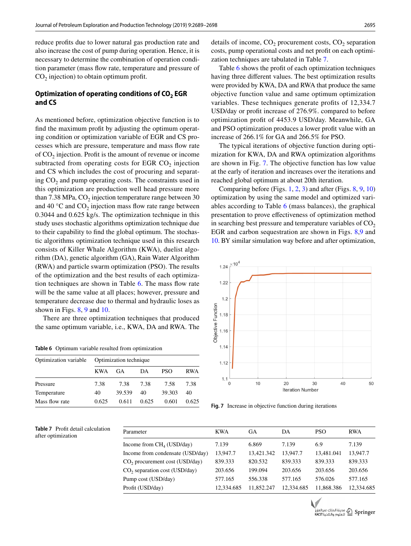reduce profts due to lower natural gas production rate and also increase the cost of pump during operation. Hence, it is necessary to determine the combination of operation condition parameter (mass flow rate, temperature and pressure of  $CO<sub>2</sub>$  injection) to obtain optimum profit.

# Optimization of operating conditions of CO<sub>2</sub> EGR **and CS**

As mentioned before, optimization objective function is to fnd the maximum proft by adjusting the optimum operating condition or optimization variable of EGR and CS processes which are pressure, temperature and mass fow rate of  $CO<sub>2</sub>$  injection. Profit is the amount of revenue or income subtracted from operating costs for EGR  $CO<sub>2</sub>$  injection and CS which includes the cost of procuring and separating  $CO<sub>2</sub>$  and pump operating costs. The constraints used in this optimization are production well head pressure more than  $7.38$  MPa,  $CO<sub>2</sub>$  injection temperature range between 30 and 40  $\degree$ C and CO<sub>2</sub> injection mass flow rate range between 0.3044 and 0.625 kg/s. The optimization technique in this study uses stochastic algorithms optimization technique due to their capability to fnd the global optimum. The stochastic algorithms optimization technique used in this research consists of Killer Whale Algorithm (KWA), duelist algorithm (DA), genetic algorithm (GA), Rain Water Algorithm (RWA) and particle swarm optimization (PSO). The results of the optimization and the best results of each optimization techniques are shown in Table [6.](#page-6-0) The mass fow rate will be the same value at all places; however, pressure and temperature decrease due to thermal and hydraulic loses as shown in Figs. [8](#page-7-0), [9](#page-7-1) and [10.](#page-7-2)

There are three optimization techniques that produced the same optimum variable, i.e., KWA, DA and RWA. The

<span id="page-6-0"></span>**Table 6** Optimum variable resulted from optimization

| Optimization technique<br>Optimization variable |        |       |            |            |
|-------------------------------------------------|--------|-------|------------|------------|
| <b>KWA</b>                                      | GA.    | DА    | <b>PSO</b> | <b>RWA</b> |
| 7.38                                            | 7.38   | 7.38  | 7.58       | 7.38       |
| 40                                              | 39.539 | 40    | 39.303     | 40         |
| 0.625                                           | 0.611  | 0.625 | 0.601      | 0.625      |
|                                                 |        |       |            |            |

Table [6](#page-6-0) shows the profit of each optimization techniques having three diferent values. The best optimization results were provided by KWA, DA and RWA that produce the same objective function value and same optimum optimization variables. These techniques generate profts of 12,334.7 USD/day or proft increase of 276.9%. compared to before optimization proft of 4453.9 USD/day. Meanwhile, GA and PSO optimization produces a lower proft value with an increase of 266.1% for GA and 266.5% for PSO.

The typical iterations of objective function during optimization for KWA, DA and RWA optimization algorithms are shown in Fig. [7](#page-6-2). The objective function has low value at the early of iteration and increases over the iterations and reached global optimum at about 20th iteration.

Comparing before (Figs.  $1, 2, 3$  $1, 2, 3$  $1, 2, 3$ ) and after (Figs.  $8, 9, 10$  $8, 9, 10$  $8, 9, 10$ ) optimization by using the same model and optimized variables according to Table [6](#page-6-0) (mass balances), the graphical presentation to prove efectiveness of optimization method in searching best pressure and temperature variables of  $CO<sub>2</sub>$ EGR and carbon sequestration are shown in Figs. [8,](#page-7-0)[9](#page-7-1) and [10](#page-7-2). BY similar simulation way before and after optimization,



<span id="page-6-2"></span>**Fig. 7** Increase in objective function during iterations

<span id="page-6-1"></span>**Table 7** Proft detail calculation after optimization

| Parameter                                  | <b>KWA</b> | GA         | DA         | <b>PSO</b> | <b>RWA</b> |
|--------------------------------------------|------------|------------|------------|------------|------------|
| Income from $CH4$ (USD/day)                | 7.139      | 6.869      | 7.139      | 6.9        | 7.139      |
| Income from condensate (USD/day)           | 13.947.7   | 13.421.342 | 13.947.7   | 13.481.041 | 13.947.7   |
| CO <sub>2</sub> procurement cost (USD/day) | 839.333    | 820.532    | 839.333    | 839.333    | 839.333    |
| CO <sub>2</sub> separation cost (USD/day)  | 203.656    | 199.094    | 203.656    | 203.656    | 203.656    |
| Pump cost (USD/day)                        | 577.165    | 556.338    | 577.165    | 576.026    | 577.165    |
| Profit (USD/day)                           | 12.334.685 | 11.852.247 | 12.334.685 | 11.868.386 | 12.334.685 |



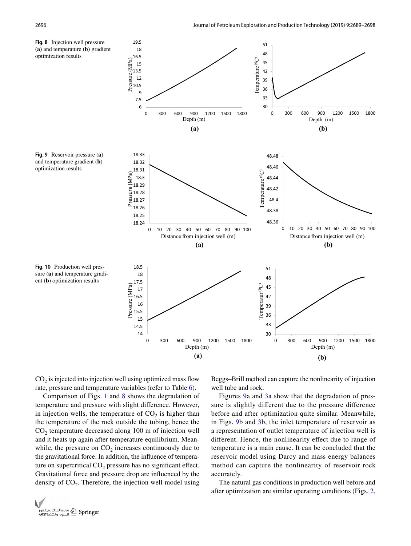<span id="page-7-1"></span><span id="page-7-0"></span>

<span id="page-7-2"></span> $CO<sub>2</sub>$  is injected into injection well using optimized mass flow rate, pressure and temperature variables (refer to Table [6\)](#page-6-0).

Comparison of Figs. [1](#page-4-0) and [8](#page-7-0) shows the degradation of temperature and pressure with slight diference. However, in injection wells, the temperature of  $CO<sub>2</sub>$  is higher than the temperature of the rock outside the tubing, hence the  $CO<sub>2</sub>$  temperature decreased along 100 m of injection well and it heats up again after temperature equilibrium. Meanwhile, the pressure on  $CO<sub>2</sub>$  increases continuously due to the gravitational force. In addition, the infuence of temperature on supercritical  $CO<sub>2</sub>$  pressure has no significant effect. Gravitational force and pressure drop are infuenced by the density of  $CO<sub>2</sub>$ . Therefore, the injection well model using Beggs–Brill method can capture the nonlinearity of injection well tube and rock.

Figures [9a](#page-7-1) and [3](#page-4-3)a show that the degradation of pressure is slightly diferent due to the pressure diference before and after optimization quite similar. Meanwhile, in Figs. [9](#page-7-1)b and [3](#page-4-3)b, the inlet temperature of reservoir as a representation of outlet temperature of injection well is diferent. Hence, the nonlinearity efect due to range of temperature is a main cause. It can be concluded that the reservoir model using Darcy and mass energy balances method can capture the nonlinearity of reservoir rock accurately.

The natural gas conditions in production well before and after optimization are similar operating conditions (Figs. [2,](#page-4-1)

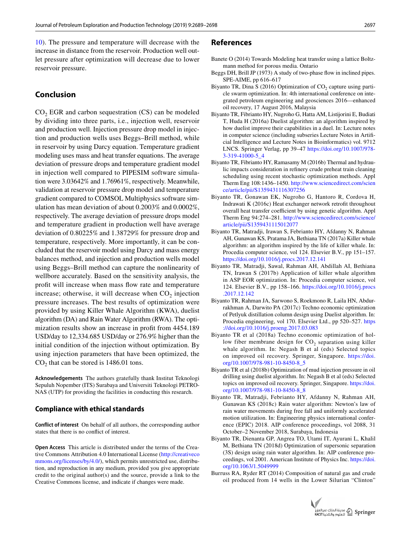[10](#page-7-2)). The pressure and temperature will decrease with the increase in distance from the reservoir. Production well outlet pressure after optimization will decrease due to lower reservoir pressure.

# **Conclusion**

 $CO<sub>2</sub> EGR$  and carbon sequestration  $(CS)$  can be modeled by dividing into three parts, i.e., injection well, reservoir and production well. Injection pressure drop model in injection and production wells uses Beggs–Brill method, while in reservoir by using Darcy equation. Temperature gradient modeling uses mass and heat transfer equations. The average deviation of pressure drops and temperature gradient model in injection well compared to PIPESIM software simulation were 3.03642% and 1.76961%, respectively. Meanwhile, validation at reservoir pressure drop model and temperature gradient compared to COMSOL Multiphysics software simulation has mean deviation of about 0.2003% and 0.0002%, respectively. The average deviation of pressure drops model and temperature gradient in production well have average deviation of 0.80225% and 1.38729% for pressure drop and temperature, respectively. More importantly, it can be concluded that the reservoir model using Darcy and mass energy balances method, and injection and production wells model using Beggs–Brill method can capture the nonlinearity of wellbore accurately. Based on the sensitivity analysis, the proft will increase when mass fow rate and temperature increase; otherwise, it will decrease when  $CO<sub>2</sub>$  injection pressure increases. The best results of optimization were provided by using Killer Whale Algorithm (KWA), duelist algorithm (DA) and Rain Water Algorithm (RWA). The optimization results show an increase in proft from 4454.189 USD/day to 12,334.685 USD/day or 276.9% higher than the initial condition of the injection without optimization. By using injection parameters that have been optimized, the  $CO<sub>2</sub>$  that can be stored is 1486.01 tons.

**Acknowledgements** The authors gratefully thank Institut Teknologi Sepuluh Nopember (ITS) Surabaya and Universiti Teknologi PETRO-NAS (UTP) for providing the facilities in conducting this research.

#### **Compliance with ethical standards**

**Conflict of interest** On behalf of all authors, the corresponding author states that there is no confict of interest.

**Open Access** This article is distributed under the terms of the Creative Commons Attribution 4.0 International License [\(http://creativeco](http://creativecommons.org/licenses/by/4.0/) [mmons.org/licenses/by/4.0/](http://creativecommons.org/licenses/by/4.0/)), which permits unrestricted use, distribution, and reproduction in any medium, provided you give appropriate credit to the original author(s) and the source, provide a link to the Creative Commons license, and indicate if changes were made.

#### **References**

- <span id="page-8-2"></span>Banete O (2014) Towards Modeling heat transfer using a lattice Boltzmann method for porous media. Ontario
- <span id="page-8-0"></span>Beggs DH, Brill JP (1973) A study of two-phase fow in inclined pipes. SPE-AIME, pp 616–617
- <span id="page-8-9"></span>Biyanto TR, Dina S (2016) Optimization of  $CO<sub>2</sub>$  capture using particle swarm optimization. In: 4th international conference on integrated petroleum engineering and geosciences 2016—enhanced oil recovery, 17 August 2016, Malaysia
- <span id="page-8-6"></span>Biyanto TR, Fibrianto HY, Nugroho G, Hatta AM, Listijorini E, Budiati T, Huda H (2016a) Duelist algorithm: an algorithm inspired by how duelist improve their capabilities in a duel. In: Lecture notes in computer science (including subseries Lecture Notes in Artifcial Intelligence and Lecture Notes in Bioinformatics) vol. 9712 LNCS. Springer Verlag, pp 39–47 [https://doi.org/10.1007/978-](https://doi.org/10.1007/978-3-319-41000-5_4) [3-319-41000-5\\_4](https://doi.org/10.1007/978-3-319-41000-5_4)
- <span id="page-8-12"></span>Biyanto TR, Fibrianto HY, Ramasamy M (2016b) Thermal and hydraulic impacts consideration in refnery crude preheat train cleaning scheduling using recent stochastic optimization methods. Appl Therm Eng 108:1436–1450. [http://www.sciencedirect.com/scien](http://www.sciencedirect.com/science/article/pii/S1359431116307256) [ce/article/pii/S1359431116307256](http://www.sciencedirect.com/science/article/pii/S1359431116307256)
- <span id="page-8-13"></span>Biyanto TR, Gonawan EK, Nugroho G, Hantoro R, Cordova H, Indrawati K (2016c) Heat exchanger network retroft throughout overall heat transfer coefficient by using genetic algorithm. Appl Therm Eng 94:274–281. [http://www.sciencedirect.com/science/](http://www.sciencedirect.com/science/article/pii/S1359431115012077) [article/pii/S1359431115012077](http://www.sciencedirect.com/science/article/pii/S1359431115012077)
- <span id="page-8-3"></span>Biyanto TR, Matradji, Irawan S, Febrianto HY, Afdanny N, Rahman AH, Gunawan KS, Pratama JA, Bethiana TN (2017a) Killer whale algorithm: an algorithm inspired by the life of killer whale. In: Procedia computer science, vol 124. Elsevier B.V., pp 151–157. <https://doi.org/10.1016/j.procs.2017.12.141>
- <span id="page-8-4"></span>Biyanto TR, Matradji, Sawal, Rahman AH, Abdillah AI, Bethiana TN, Irawan S (2017b) Application of killer whale algorithm in ASP EOR optimization. In: Procedia computer science, vol 124. Elsevier B.V., pp 158–166. [https://doi.org/10.1016/j.procs](https://doi.org/10.1016/j.procs.2017.12.142) [.2017.12.142](https://doi.org/10.1016/j.procs.2017.12.142)
- <span id="page-8-7"></span>Biyanto TR, Rahman JA, Sarwono S, Roekmono R, Laila HN, Abdurrakhman A, Darwito PA (2017c) Techno economic optimization of Petlyuk distillation column design using Duelist algorithm. In: Procedia engineering, vol 170. Elsevier Ltd., pp 520–527. [https](https://doi.org/10.1016/j.proeng.2017.03.083) [://doi.org/10.1016/j.proeng.2017.03.083](https://doi.org/10.1016/j.proeng.2017.03.083)
- <span id="page-8-5"></span>Biyanto TR et al (2018a) Techno economic optimization of hollow fiber membrane design for  $CO<sub>2</sub>$  separation using killer whale algorithm. In: Negash B et al (eds) Selected topics on improved oil recovery. Springer, Singapore. [https://doi.](https://doi.org/10.1007/978-981-10-8450-8_5) [org/10.1007/978-981-10-8450-8\\_5](https://doi.org/10.1007/978-981-10-8450-8_5)
- <span id="page-8-8"></span>Biyanto TR et al (2018b) Optimization of mud injection pressure in oil drilling using duelist algorithm. In: Negash B et al (eds) Selected topics on improved oil recovery. Springer, Singapore. [https://doi.](https://doi.org/10.1007/978-981-10-8450-8_8) [org/10.1007/978-981-10-8450-8\\_8](https://doi.org/10.1007/978-981-10-8450-8_8)
- <span id="page-8-10"></span>Biyanto TR, Matradji, Febrianto HY, Afdanny N, Rahman AH, Gunawan KS (2018c) Rain water algorithm: Newton's law of rain water movements during free fall and uniformly accelerated motion utilization. In: Engineering physics international conference (EPIC) 2018. AIP conference proceedings, vol 2088, 31 October–2 November 2018, Surabaya, Indonesia
- <span id="page-8-11"></span>Biyanto TR, Dienanta GP, Angrea TO, Utami IT, Ayurani L, Khalil M, Bethiana TN (2018d) Optimization of supersonic separation (3S) design using rain water algorithm. In: AIP conference proceedings, vol 2001. American Institute of Physics Inc. [https://doi.](https://doi.org/10.1063/1.5049999) [org/10.1063/1.5049999](https://doi.org/10.1063/1.5049999)
- <span id="page-8-1"></span>Burruss RA, Ryder RT (2014) Composition of natural gas and crude oil produced from 14 wells in the Lower Silurian "Clinton"